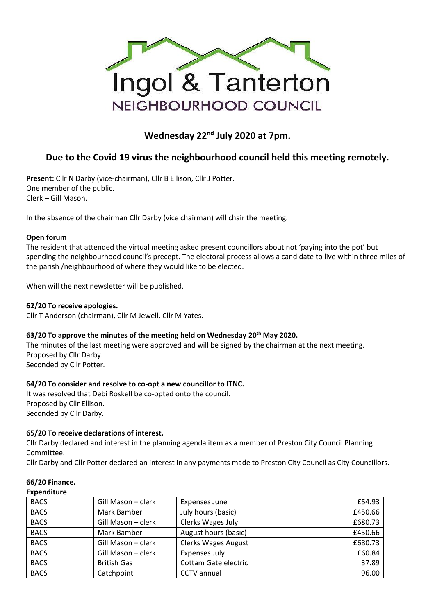

# **Wednesday 22nd July 2020 at 7pm.**

## **Due to the Covid 19 virus the neighbourhood council held this meeting remotely.**

**Present:** Cllr N Darby (vice-chairman), Cllr B Ellison, Cllr J Potter. One member of the public. Clerk – Gill Mason.

In the absence of the chairman Cllr Darby (vice chairman) will chair the meeting.

#### **Open forum**

The resident that attended the virtual meeting asked present councillors about not 'paying into the pot' but spending the neighbourhood council's precept. The electoral process allows a candidate to live within three miles of the parish /neighbourhood of where they would like to be elected.

When will the next newsletter will be published.

#### **62/20 To receive apologies.**

Cllr T Anderson (chairman), Cllr M Jewell, Cllr M Yates.

#### **63/20 To approve the minutes of the meeting held on Wednesday 20th May 2020.**

The minutes of the last meeting were approved and will be signed by the chairman at the next meeting. Proposed by Cllr Darby.

Seconded by Cllr Potter.

#### **64/20 To consider and resolve to co-opt a new councillor to ITNC.**

It was resolved that Debi Roskell be co-opted onto the council. Proposed by Cllr Ellison. Seconded by Cllr Darby.

#### **65/20 To receive declarations of interest.**

Cllr Darby declared and interest in the planning agenda item as a member of Preston City Council Planning Committee.

Cllr Darby and Cllr Potter declared an interest in any payments made to Preston City Council as City Councillors.

| ----------- |                    |                            |         |
|-------------|--------------------|----------------------------|---------|
| <b>BACS</b> | Gill Mason - clerk | <b>Expenses June</b>       |         |
| <b>BACS</b> | Mark Bamber        | July hours (basic)         | £450.66 |
| <b>BACS</b> | Gill Mason - clerk | Clerks Wages July          | £680.73 |
| <b>BACS</b> | Mark Bamber        | August hours (basic)       | £450.66 |
| <b>BACS</b> | Gill Mason - clerk | <b>Clerks Wages August</b> | £680.73 |
| <b>BACS</b> | Gill Mason - clerk | <b>Expenses July</b>       | £60.84  |
| <b>BACS</b> | <b>British Gas</b> | Cottam Gate electric       | 37.89   |
| <b>BACS</b> | Catchpoint         | <b>CCTV</b> annual         | 96.00   |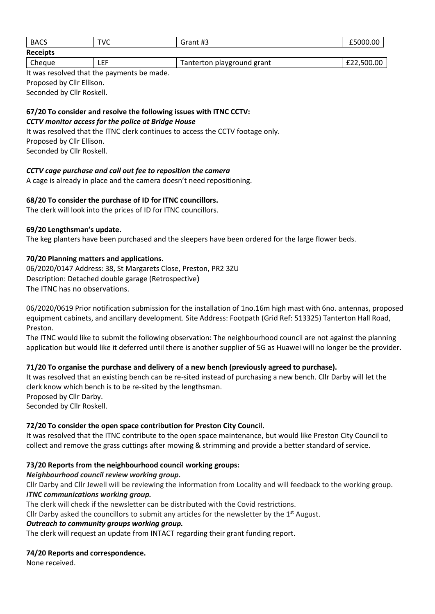| <b>BACS</b>     | TVC  | Grant #3                   | £5000.00   |
|-----------------|------|----------------------------|------------|
| <b>Receipts</b> |      |                            |            |
| Cheque          | ∟EF. | Tanterton playground grant | £22,500.00 |

It was resolved that the payments be made. Proposed by Cllr Ellison. Seconded by Cllr Roskell.

#### **67/20 To consider and resolve the following issues with ITNC CCTV:** *CCTV monitor access for the police at Bridge House*

It was resolved that the ITNC clerk continues to access the CCTV footage only. Proposed by Cllr Ellison. Seconded by Cllr Roskell.

#### *CCTV cage purchase and call out fee to reposition the camera*

A cage is already in place and the camera doesn't need repositioning.

#### **68/20 To consider the purchase of ID for ITNC councillors.**

The clerk will look into the prices of ID for ITNC councillors.

#### **69/20 Lengthsman's update.**

The keg planters have been purchased and the sleepers have been ordered for the large flower beds.

#### **70/20 Planning matters and applications.**

06/2020/0147 Address: 38, St Margarets Close, Preston, PR2 3ZU Description: Detached double garage (Retrospective) The ITNC has no observations.

06/2020/0619 Prior notification submission for the installation of 1no.16m high mast with 6no. antennas, proposed equipment cabinets, and ancillary development. Site Address: Footpath (Grid Ref: 513325) Tanterton Hall Road, Preston.

The ITNC would like to submit the following observation: The neighbourhood council are not against the planning application but would like it deferred until there is another supplier of 5G as Huawei will no longer be the provider.

#### **71/20 To organise the purchase and delivery of a new bench (previously agreed to purchase).**

It was resolved that an existing bench can be re-sited instead of purchasing a new bench. Cllr Darby will let the clerk know which bench is to be re-sited by the lengthsman. Proposed by Cllr Darby.

Seconded by Cllr Roskell.

#### **72/20 To consider the open space contribution for Preston City Council.**

It was resolved that the ITNC contribute to the open space maintenance, but would like Preston City Council to collect and remove the grass cuttings after mowing & strimming and provide a better standard of service.

#### **73/20 Reports from the neighbourhood council working groups:**

#### *Neighbourhood council review working group.*

Cllr Darby and Cllr Jewell will be reviewing the information from Locality and will feedback to the working group. *ITNC communications working group.*

The clerk will check if the newsletter can be distributed with the Covid restrictions.

Cllr Darby asked the councillors to submit any articles for the newsletter by the  $1<sup>st</sup>$  August.

#### *Outreach to community groups working group.*

The clerk will request an update from INTACT regarding their grant funding report.

#### **74/20 Reports and correspondence.**

None received.